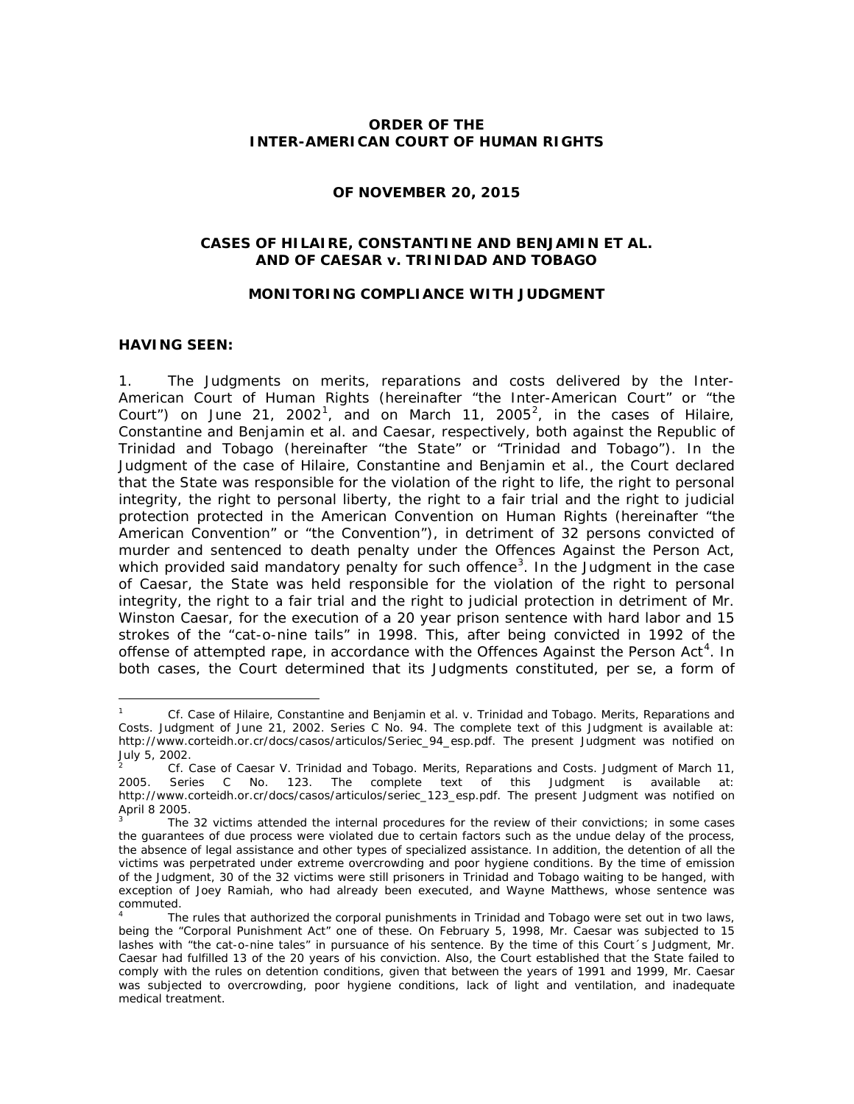## **ORDER OF THE INTER-AMERICAN COURT OF HUMAN RIGHTS**

### **OF NOVEMBER 20, 2015**

## **CASES OF HILAIRE, CONSTANTINE AND BENJAMIN** *ET AL.* **AND OF CAESAR** *v***. TRINIDAD AND TOBAGO**

#### **MONITORING COMPLIANCE WITH JUDGMENT**

## **HAVING SEEN:**

-

1. The Judgments on merits, reparations and costs delivered by the Inter-American Court of Human Rights (hereinafter "the Inter-American Court" or "the Court") on June 2[1](#page-0-0), [2](#page-0-1)002<sup>1</sup>, and on March 11, 2005<sup>2</sup>, in the cases of *Hilaire*, *Constantine and Benjamin et al.* and *Caesar*, respectively, both against the Republic of Trinidad and Tobago (hereinafter "the State" or "Trinidad and Tobago"). In the Judgment of the case of *Hilaire, Constantine and Benjamin et al.*, the Court declared that the State was responsible for the violation of the right to life, the right to personal integrity, the right to personal liberty, the right to a fair trial and the right to judicial protection protected in the American Convention on Human Rights (hereinafter "the American Convention" or "the Convention"), in detriment of 32 persons convicted of murder and sentenced to death penalty under the Offences Against the Person Act, which provided said mandatory penalty for such offence<sup>[3](#page-0-2)</sup>. In the Judgment in the case of *Caesar*, the State was held responsible for the violation of the right to personal integrity, the right to a fair trial and the right to judicial protection in detriment of Mr. Winston Caesar, for the execution of a 20 year prison sentence with hard labor and 15 strokes of the "cat-o-nine tails" in 1998. This, after being convicted in 1992 of the offense of attempted rape, in accordance with the Offences Against the Person Act<sup>[4](#page-0-3)</sup>. In both cases, the Court determined that its Judgments constituted, *per se*, a form of

<span id="page-0-0"></span><sup>1</sup> *Cf. Case of Hilaire, Constantine and Benjamin et al. v. Trinidad and Tobago*. *Merits, Reparations and Costs.* Judgment of June 21, 2002. Series C No. 94. The complete text of this Judgment is available at: [http://www.corteidh.or.cr/docs/casos/articulos/Seriec\\_94\\_esp.pdf.](http://www.corteidh.or.cr/docs/casos/articulos/Seriec_94_esp.pdf) The present Judgment was notified on July 5, 2002.

<span id="page-0-1"></span><sup>2</sup> *Cf*. *Case of Caesar V. Trinidad and Tobago*. *Merits, Reparations and Costs.* Judgment of March 11, Series C No. 123. The complete text of this Judgment is available at: [http://www.corteidh.or.cr/docs/casos/articulos/seriec\\_123\\_esp.pdf.](http://www.corteidh.or.cr/docs/casos/articulos/seriec_123_esp.pdf) The present Judgment was notified on April 8 2005.

<span id="page-0-2"></span>The 32 victims attended the internal procedures for the review of their convictions; in some cases the guarantees of due process were violated due to certain factors such as the undue delay of the process, the absence of legal assistance and other types of specialized assistance. In addition, the detention of all the victims was perpetrated under extreme overcrowding and poor hygiene conditions. By the time of emission of the Judgment, 30 of the 32 victims were still prisoners in Trinidad and Tobago waiting to be hanged, with exception of Joey Ramiah, who had already been executed, and Wayne Matthews, whose sentence was commuted.

<span id="page-0-3"></span>The rules that authorized the corporal punishments in Trinidad and Tobago were set out in two laws, being the "Corporal Punishment Act" one of these. On February 5, 1998, Mr. Caesar was subjected to 15 lashes with "the cat-o-nine tales" in pursuance of his sentence. By the time of this Court´s Judgment, Mr. Caesar had fulfilled 13 of the 20 years of his conviction. Also, the Court established that the State failed to comply with the rules on detention conditions, given that between the years of 1991 and 1999, Mr. Caesar was subjected to overcrowding, poor hygiene conditions, lack of light and ventilation, and inadequate medical treatment.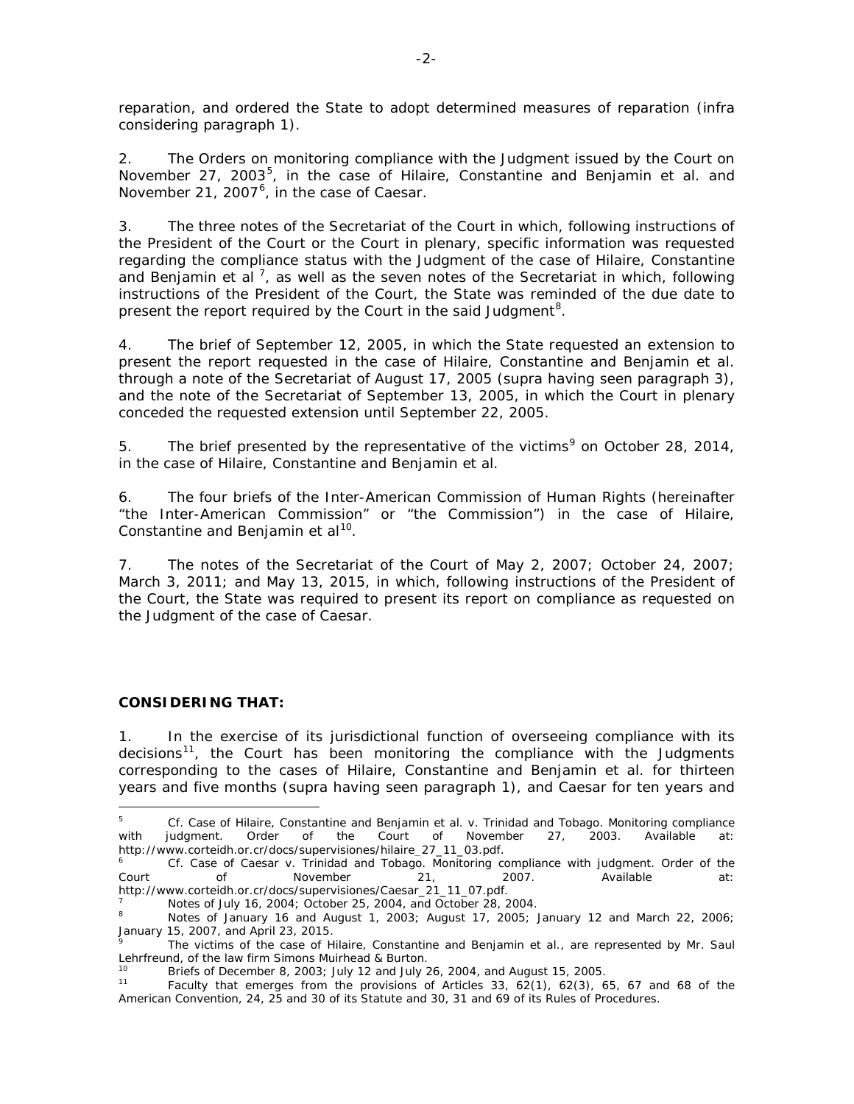reparation, and ordered the State to adopt determined measures of reparation (*infra*  considering paragraph 1).

2. The Orders on monitoring compliance with the Judgment issued by the Court on November 27, 2003<sup>[5](#page-1-0)</sup>, in the case of *Hilaire, Constantine and Benjamin et al.* and November 21, 2007<sup>[6](#page-1-1)</sup>, in the case of *Caesar*.

3. The three notes of the Secretariat of the Court in which, following instructions of the President of the Court or the Court in plenary, specific information was requested regarding the compliance status with the Judgment of the case of *Hilaire, Constantine*  and Benjamin et al<sup>[7](#page-1-2)</sup>, as well as the seven notes of the Secretariat in which, following instructions of the President of the Court, the State was reminded of the due date to present the report required by the Court in the said Judgment<sup>[8](#page-1-3)</sup>.

4. The brief of September 12, 2005, in which the State requested an extension to present the report requested in the case of *Hilaire, Constantine and Benjamin et al.* through a note of the Secretariat of August 17, 2005 (*supra* having seen paragraph 3), and the note of the Secretariat of September 13, 2005, in which the Court in plenary conceded the requested extension until September 22, 2005*.*

5. The brief presented by the representative of the victims<sup>[9](#page-1-4)</sup> on October 28, 2014, in the case of *Hilaire, Constantine and Benjamin et al.*

6. The four briefs of the Inter-American Commission of Human Rights (hereinafter "the Inter-American Commission" or "the Commission") in the case of *Hilaire, Constantine and Benjamin et al*[10](#page-1-5).

7. The notes of the Secretariat of the Court of May 2, 2007; October 24, 2007; March 3, 2011; and May 13, 2015, in which, following instructions of the President of the Court, the State was required to present its report on compliance as requested on the Judgment of the case of *Caesar*.

## **CONSIDERING THAT:**

<u>.</u>

1. In the exercise of its jurisdictional function of overseeing compliance with its decisions<sup>[11](#page-1-6)</sup>, the Court has been monitoring the compliance with the Judgments corresponding to the cases of *Hilaire, Constantine and Benjamin et al.* for thirteen years and five months (*supra* having seen paragraph 1), and *Caesar* for ten years and

<span id="page-1-0"></span><sup>5</sup> *Cf. Case of Hilaire, Constantine and Benjamin et al. v. Trinidad and Tobago. Monitoring compliance*  with judgment. Order of the Court of November 27, 2003. Available at:<br>http://www.corteidh.or.cr/docs/supervisiones/hilaire\_27\_11\_03.pdf.

<span id="page-1-1"></span>Cf. Case of Caesar v. Trinidad and Tobago. Monitoring compliance with judgment. Order of the Court of November 21, 2007. Available at:

<span id="page-1-3"></span>

<span id="page-1-2"></span>[http://www.corteidh.or.cr/docs/supervisiones/Caesar\\_21\\_11\\_07.pdf.](http://www.corteidh.or.cr/docs/supervisiones/Caesar_21_11_07.pdf)<br>
7 Notes of July 16, 2004; October 25, 2004, and October 28, 2004.<br>
<sup>8</sup> Notes of January 16 and August 1, 2003; August 17, 2005; January 12 and March 22, 20 January 15, 2007, and April 23, 2015.

<span id="page-1-4"></span><sup>9</sup> The victims of the case of *Hilaire, Constantine and Benjamin et al.,* are represented by Mr. Saul Lehrfreund, of the law firm Simons Muirhead & Burton.

<span id="page-1-6"></span><span id="page-1-5"></span><sup>&</sup>lt;sup>10</sup> Briefs of December 8, 2003; July 12 and July 26, 2004, and August 15, 2005.<br><sup>11</sup> Faculty that emerges from the provisions of Articles 33, 62(1), 62(3), 65, 67 and 68 of the American Convention, 24, 25 and 30 of its Statute and 30, 31 and 69 of its Rules of Procedures.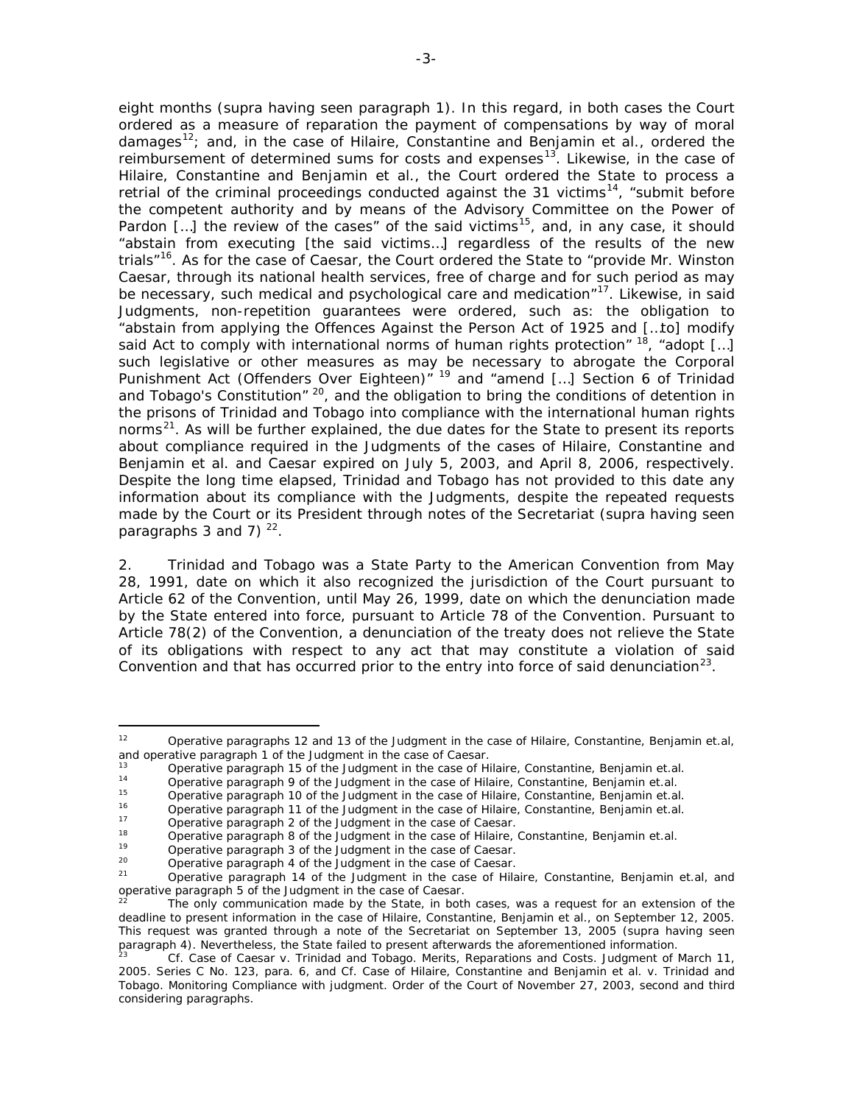eight months (*supra* having seen paragraph 1). In this regard, in both cases the Court ordered as a measure of reparation the payment of compensations by way of moral damages[12](#page-2-0); and, in the case of *Hilaire, Constantine and Benjamin et al.,* ordered the reimbursement of determined sums for costs and expenses<sup>13</sup>. Likewise, in the case of *Hilaire, Constantine and Benjamin et al.,* the Court ordered the State to process a retrial of the criminal proceedings conducted against the 31 victims<sup>[14](#page-2-2)</sup>, "submit before the competent authority and by means of the Advisory Committee on the Power of Pardon  $[...]$  the review of the cases" of the said victims<sup>15</sup>, and, in any case, it should "abstain from executing [the said victims…] regardless of the results of the new trials"[16](#page-2-4). As for the case of *Caesar*, the Court ordered the State to "provide Mr. Winston Caesar, through its national health services, free of charge and for such period as may be necessary, such medical and psychological care and medication"<sup>17</sup>. Likewise, in said Judgments, non-repetition guarantees were ordered, such as: the obligation to "abstain from applying the Offences Against the Person Act of 1925 and […to] modify said Act to comply with international norms of human rights protection"  $18$ , "adopt [...] such legislative or other measures as may be necessary to abrogate the Corporal Punishment Act (Offenders Over Eighteen)<sup>" [19](#page-2-7)</sup> and "amend [...] Section 6 of Trinidad and Tobago's Constitution" [20](#page-2-8), and the obligation to bring the conditions of detention in the prisons of Trinidad and Tobago into compliance with the international human rights norms<sup>[21](#page-2-9)</sup>. As will be further explained, the due dates for the State to present its reports about compliance required in the Judgments of the cases of *Hilaire, Constantine and Benjamin et al.* and *Caesar* expired on July 5, 2003, and April 8, 2006, respectively. Despite the long time elapsed, Trinidad and Tobago has not provided to this date any information about its compliance with the Judgments, despite the repeated requests made by the Court or its President through notes of the Secretariat (*supra* having seen paragraphs 3 and 7)  $^{22}$  $^{22}$  $^{22}$ .

2. Trinidad and Tobago was a State Party to the American Convention from May 28, 1991, date on which it also recognized the jurisdiction of the Court pursuant to Article 62 of the Convention, until May 26, 1999, date on which the denunciation made by the State entered into force, pursuant to Article 78 of the Convention. Pursuant to Article 78(2) of the Convention, a denunciation of the treaty does not relieve the State of its obligations with respect to any act that may constitute a violation of said Convention and that has occurred prior to the entry into force of said denunciation<sup>[23](#page-2-11)</sup>.

<sup>16</sup> Operative paragraph 11 of the Judgment in the case of *Hilaire, Constantine, Benjamin et.al.*

<span id="page-2-0"></span> $12$ <sup>12</sup> Operative paragraphs 12 and 13 of the Judgment in the case of *Hilaire, Constantine, Benjamin et.al,* and operative paragraph 1 of the Judgment in the case of *Caesar.*

<span id="page-2-1"></span><sup>13</sup> Operative paragraph 15 of the Judgment in the case of *Hilaire, Constantine, Benjamin et.al.*

<sup>14</sup> Operative paragraph 9 of the Judgment in the case of *Hilaire, Constantine, Benjamin et.al.*

<span id="page-2-5"></span><span id="page-2-4"></span><span id="page-2-3"></span><span id="page-2-2"></span><sup>15</sup> Operative paragraph 10 of the Judgment in the case of *Hilaire, Constantine, Benjamin et.al.*

<sup>17</sup> Operative paragraph 2 of the Judgment in the case of *Caesar.*

<span id="page-2-6"></span><sup>18</sup> Operative paragraph 8 of the Judgment in the case of *Hilaire, Constantine, Benjamin et.al.*<br>19 Operative paragraph 3 of the Judgment in the case of *Cassar* 

<span id="page-2-7"></span><sup>19</sup> Operative paragraph 3 of the Judgment in the case of *Caesar.*

<span id="page-2-8"></span><sup>20</sup> Operative paragraph 4 of the Judgment in the case of *Caesar.*

<span id="page-2-9"></span><sup>21</sup> Operative paragraph 14 of the Judgment in the case of *Hilaire, Constantine, Benjamin et.al,* and operative paragraph 5 of the Judgment in the case of *Caesar.*

<span id="page-2-10"></span>The only communication made by the State, in both cases, was a request for an extension of the deadline to present information in the case of *Hilaire, Constantine, Benjamin et al.,* on September 12, 2005. This request was granted through a note of the Secretariat on September 13, 2005 (*supra* having seen paragraph 4). Nevertheless, the State failed to present afterwards the aforementioned information.<br>Cf. Case of Caesar v. Trinidad and Tobago. Merits, Reparations and Costs. Judgment of March 11,

<span id="page-2-11"></span><sup>2005.</sup> Series C No. 123, para. 6*,* and *Cf. Case of Hilaire, Constantine and Benjamin et al. v. Trinidad and Tobago. Monitoring Compliance with judgment.* Order of the Court of November 27, 2003, second and third considering paragraphs.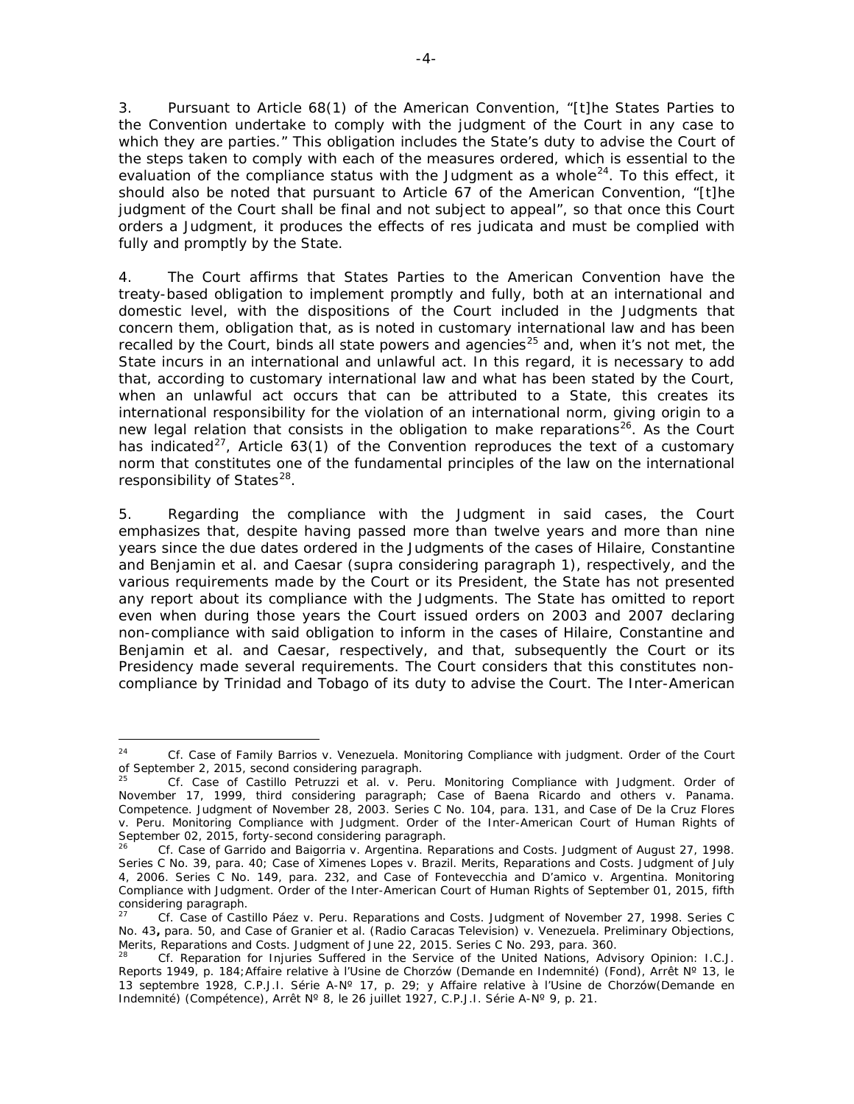3. Pursuant to Article 68(1) of the American Convention, "[t]he States Parties to the Convention undertake to comply with the judgment of the Court in any case to which they are parties." This obligation includes the State's duty to advise the Court of the steps taken to comply with each of the measures ordered, which is essential to the evaluation of the compliance status with the Judgment as a whole<sup>24</sup>. To this effect, it should also be noted that pursuant to Article 67 of the American Convention, "[t]he judgment of the Court shall be final and not subject to appeal", so that once this Court orders a Judgment, it produces the effects of *res judicata* and must be complied with fully and promptly by the State.

4. The Court affirms that States Parties to the American Convention have the treaty-based obligation to implement promptly and fully, both at an international and domestic level, with the dispositions of the Court included in the Judgments that concern them, obligation that, as is noted in customary international law and has been recalled by the Court, binds all state powers and agencies<sup>[25](#page-3-1)</sup> and, when it's not met, the State incurs in an international and unlawful act. In this regard, it is necessary to add that, according to customary international law and what has been stated by the Court, when an unlawful act occurs that can be attributed to a State, this creates its international responsibility for the violation of an international norm, giving origin to a new legal relation that consists in the obligation to make reparations<sup>[26](#page-3-2)</sup>. As the Court has indicated<sup>[27](#page-3-3)</sup>, Article 63(1) of the Convention reproduces the text of a customary norm that constitutes one of the fundamental principles of the law on the international responsibility of States $^{28}$ .

5. Regarding the compliance with the Judgment in said cases, the Court emphasizes that, despite having passed more than twelve years and more than nine years since the due dates ordered in the Judgments of the cases of *Hilaire, Constantine and Benjamin et al.* and *Caesar* (*supra* considering paragraph 1), respectively, and the various requirements made by the Court or its President, the State has not presented any report about its compliance with the Judgments. The State has omitted to report even when during those years the Court issued orders on 2003 and 2007 declaring non-compliance with said obligation to inform in the cases of *Hilaire, Constantine and Benjamin et al.* and *Caesar,* respectively, and that, subsequently the Court or its Presidency made several requirements. The Court considers that this constitutes noncompliance by Trinidad and Tobago of its duty to advise the Court. The Inter-American

<span id="page-3-0"></span><sup>-</sup><sup>24</sup> *Cf. Case of Family Barrios v. Venezuela. Monitoring Compliance with judgment.* Order of the Court of September 2, 2015, second considering paragraph.

<span id="page-3-1"></span><sup>25</sup> *Cf. Case of Castillo Petruzzi et al. v. Peru. Monitoring Compliance with Judgment.* Order of November 17, 1999, third considering paragraph*; Case of Baena Ricardo and others v. Panama*. *Competence.* Judgment of November 28, 2003. Series C No. 104, para. 131, and *Case of De la Cruz Flores v. Peru. Monitoring Compliance with Judgment.* Order of the Inter-American Court of Human Rights of September 02, 2015, forty-second considering paragraph.

<span id="page-3-2"></span><sup>26</sup> *Cf. Case of Garrido and Baigorria v. Argentina. Reparations and Costs*. Judgment of August 27, 1998. Series C No. 39, para. 40; *Case of Ximenes Lopes v. Brazil*. *Merits, Reparations and Costs*. Judgment of July 4, 2006. Series C No. 149, para. 232, and *Case of Fontevecchia and D'amico v. Argentina*. *Monitoring Compliance with Judgment.* Order of the Inter-American Court of Human Rights of September 01, 2015, fifth considering paragraph.

<span id="page-3-3"></span><sup>27</sup> *Cf. Case of Castillo Páez v. Peru. Reparations and Costs.* Judgment of November 27, 1998. Series C No. 43**,** para. 50, and *Case of Granier et al. (Radio Caracas Television) v. Venezuela. Preliminary Objections, Merits, Reparations and Costs. Judgment of June 22, 2015. Series C No. 293, para. 360.* 28 *Cf. Reparation for Injuries Suffered in the Service of the United Nations, Advisory Opinion: I.C.J.* 

<span id="page-3-4"></span>*Reports 1949, p. 184;Affaire relative à l'Usine de Chorzów (Demande en Indemnité) (Fond), Arrêt Nº 13, le 13 septembre 1928, C.P.J.I. Série A-Nº 17, p. 29;* y *Affaire relative à l'Usine de Chorzów(Demande en Indemnité) (Compétence)*, *Arrêt Nº 8, le 26 juillet 1927, C.P.J.I. Série A-Nº 9, p. 21.*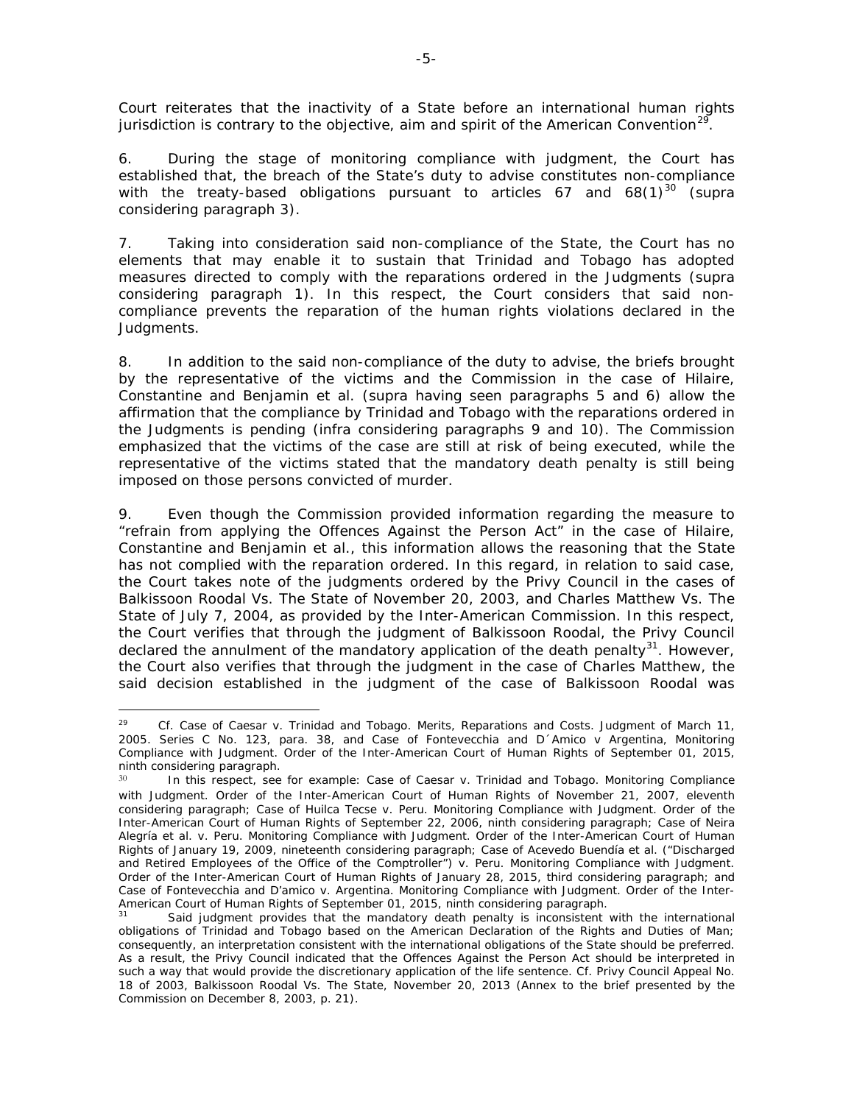Court reiterates that the inactivity of a State before an international human rights jurisdiction is contrary to the objective, aim and spirit of the American Convention<sup>[29](#page-4-0)</sup>.

6. During the stage of monitoring compliance with judgment, the Court has established that, the breach of the State's duty to advise constitutes non-compliance with the treaty-based obligations pursuant to articles 67 and  $68(1)^{30}$  $68(1)^{30}$  $68(1)^{30}$  (*supra* considering paragraph 3).

7. Taking into consideration said non-compliance of the State, the Court has no elements that may enable it to sustain that Trinidad and Tobago has adopted measures directed to comply with the reparations ordered in the Judgments (*supra*  considering paragraph 1). In this respect, the Court considers that said noncompliance prevents the reparation of the human rights violations declared in the Judgments.

8. In addition to the said non-compliance of the duty to advise, the briefs brought by the representative of the victims and the Commission in the case of *Hilaire, Constantine and Benjamin et al.* (*supra* having seen paragraphs 5 and 6) allow the affirmation that the compliance by Trinidad and Tobago with the reparations ordered in the Judgments is pending (*infra* considering paragraphs 9 and 10). The Commission emphasized that the victims of the case are still at risk of being executed, while the representative of the victims stated that the mandatory death penalty is still being imposed on those persons convicted of murder.

9. Even though the Commission provided information regarding the measure to "refrain from applying the Offences Against the Person Act" in the case of *Hilaire, Constantine and Benjamin et al.,* this information allows the reasoning that the State has not complied with the reparation ordered. In this regard, in relation to said case, the Court takes note of the judgments ordered by the Privy Council in the cases of *Balkissoon Roodal Vs. The State* of November 20, 2003, and *Charles Matthew Vs. The State* of July 7, 2004, as provided by the Inter-American Commission. In this respect, the Court verifies that through the judgment of *Balkissoon Roodal,* the Privy Council declared the annulment of the mandatory application of the death penalty<sup>[31](#page-4-2)</sup>. However, the Court also verifies that through the judgment in the case of *Charles Matthew,* the said decision established in the judgment of the case of *Balkissoon Roodal* was

-

<span id="page-4-0"></span><sup>29</sup> *Cf. Case of Caesar v. Trinidad and Tobago. Merits, Reparations and Costs.* Judgment of March 11, 2005. Series C No. 123, para. 38, and *Case of Fontevecchia and D´Amico v Argentina, Monitoring Compliance with Judgment.* Order of the Inter-American Court of Human Rights of September 01, 2015, ninth considering paragraph.

<span id="page-4-1"></span><sup>30</sup> In this respect, see for example: *Case of Caesar v. Trinidad and Tobago. Monitoring Compliance with Judgment.* Order of the Inter-American Court of Human Rights of November 21, 2007, eleventh considering paragraph; *Case of Huilca Tecse v. Peru. Monitoring Compliance with Judgment.* Order of the Inter-American Court of Human Rights of September 22, 2006, ninth considering paragraph; *Case of Neira Alegría et al. v. Peru. Monitoring Compliance with Judgment.* Order of the Inter-American Court of Human Rights of January 19, 2009, nineteenth considering paragraph; *Case of Acevedo Buendía et al. ("Discharged and Retired Employees of the Office of the Comptroller") v. Peru. Monitoring Compliance with Judgment.* Order of the Inter-American Court of Human Rights of January 28, 2015, third considering paragraph; and *Case of Fontevecchia and D'amico v. Argentina. Monitoring Compliance with Judgment.* Order of the Inter-American Court of Human Rights of September 01, 2015, ninth considering paragraph.

<span id="page-4-2"></span>Said judgment provides that the mandatory death penalty is inconsistent with the international obligations of Trinidad and Tobago based on the American Declaration of the Rights and Duties of Man; consequently, an interpretation consistent with the international obligations of the State should be preferred. As a result, the Privy Council indicated that the Offences Against the Person Act should be interpreted in such a way that would provide the discretionary application of the life sentence. *Cf. Privy Council Appeal No. 18 of 2003*, *Balkissoon Roodal Vs. The State*, November 20, 2013 (Annex to the brief presented by the Commission on December 8, 2003, p. 21).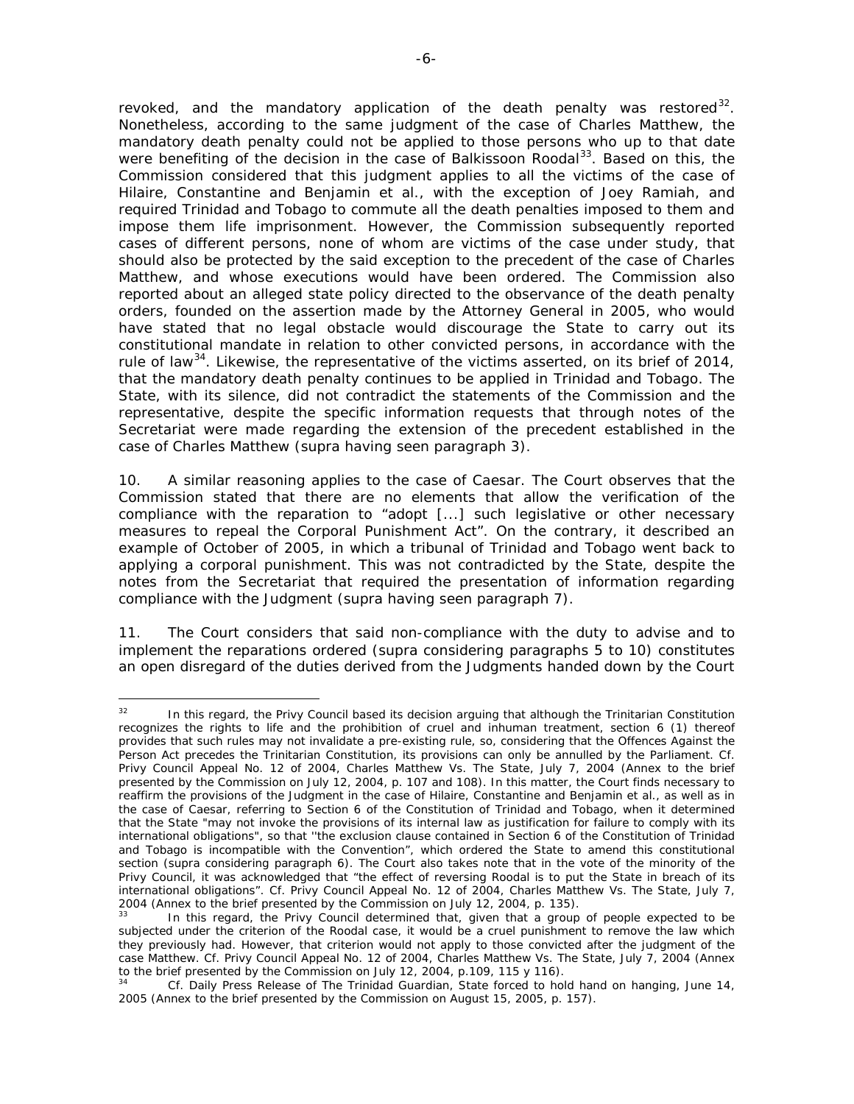revoked, and the mandatory application of the death penalty was restored<sup>[32](#page-5-0)</sup>. Nonetheless, according to the same judgment of the case of *Charles Matthew,* the mandatory death penalty could not be applied to those persons who up to that date were benefiting of the decision in the case of *Balkissoon Roodal*<sup>[33](#page-5-1)</sup>. Based on this, the Commission considered that this judgment applies to all the victims of the case of *Hilaire, Constantine and Benjamin et al.,* with the exception of Joey Ramiah, and required Trinidad and Tobago to commute all the death penalties imposed to them and impose them life imprisonment. However, the Commission subsequently reported cases of different persons, none of whom are victims of the case under study, that should also be protected by the said exception to the precedent of the case of *Charles Matthew,* and whose executions would have been ordered. The Commission also reported about an alleged state policy directed to the observance of the death penalty orders, founded on the assertion made by the Attorney General in 2005, who would have stated that no legal obstacle would discourage the State to carry out its constitutional mandate in relation to other convicted persons, in accordance with the rule of law<sup>[34](#page-5-2)</sup>. Likewise, the representative of the victims asserted, on its brief of 2014, that the mandatory death penalty continues to be applied in Trinidad and Tobago. The State, with its silence, did not contradict the statements of the Commission and the representative, despite the specific information requests that through notes of the Secretariat were made regarding the extension of the precedent established in the case of *Charles Matthew* (*supra* having seen paragraph 3).

10. A similar reasoning applies to the case of *Caesar*. The Court observes that the Commission stated that there are no elements that allow the verification of the compliance with the reparation to "adopt [...] such legislative or other necessary measures to repeal the Corporal Punishment Act". On the contrary, it described an example of October of 2005, in which a tribunal of Trinidad and Tobago went back to applying a corporal punishment. This was not contradicted by the State, despite the notes from the Secretariat that required the presentation of information regarding compliance with the Judgment (*supra* having seen paragraph 7).

11. The Court considers that said non-compliance with the duty to advise and to implement the reparations ordered (*supra* considering paragraphs 5 to 10) constitutes an open disregard of the duties derived from the Judgments handed down by the Court

<span id="page-5-0"></span> $32<sup>°</sup>$ In this regard, the Privy Council based its decision arguing that although the Trinitarian Constitution recognizes the rights to life and the prohibition of cruel and inhuman treatment, section 6 (1) thereof provides that such rules may not invalidate a pre-existing rule, so, considering that the Offences Against the Person Act precedes the Trinitarian Constitution, its provisions can only be annulled by the Parliament. *Cf. Privy Council Appeal No. 12 of 2004, Charles Matthew Vs. The State,* July 7, 2004 (Annex to the brief presented by the Commission on July 12, 2004, p. 107 and 108). In this matter, the Court finds necessary to reaffirm the provisions of the Judgment in the case of *Hilaire, Constantine and Benjamin et al.*, as well as in the case of *Caesar,* referring to Section 6 of the Constitution of Trinidad and Tobago, when it determined that the State "may not invoke the provisions of its internal law as justification for failure to comply with its international obligations", so that ''the exclusion clause contained in Section 6 of the Constitution of Trinidad and Tobago is incompatible with the Convention", which ordered the State to amend this constitutional section (*supra* considering paragraph 6). The Court also takes note that in the vote of the minority of the Privy Council, it was acknowledged that "the effect of reversing *Roodal* is to put the State in breach of its international obligations". *Cf. Privy Council Appeal No. 12 of 2004, Charles Matthew Vs. The State,* July 7, 2004 (Annex to the brief presented by the Commission on July 12, 2004, p. 135).

<span id="page-5-1"></span>In this regard, the Privy Council determined that, given that a group of people expected to be subjected under the criterion of the Roodal case, it would be a cruel punishment to remove the law which they previously had. However, that criterion would not apply to those convicted after the judgment of the case *Matthew*. *Cf. Privy Council Appeal No. 12 of 2004, Charles Matthew Vs. The State,* July 7, 2004 (Annex to the brief presented by the Commission on July 12, 2004, p.109, 115 y 116).

<span id="page-5-2"></span><sup>34</sup> *Cf.* Daily Press Release of *The Trinidad Guardian*, *State forced to hold hand on hanging,* June 14, 2005 (Annex to the brief presented by the Commission on August 15, 2005, p. 157).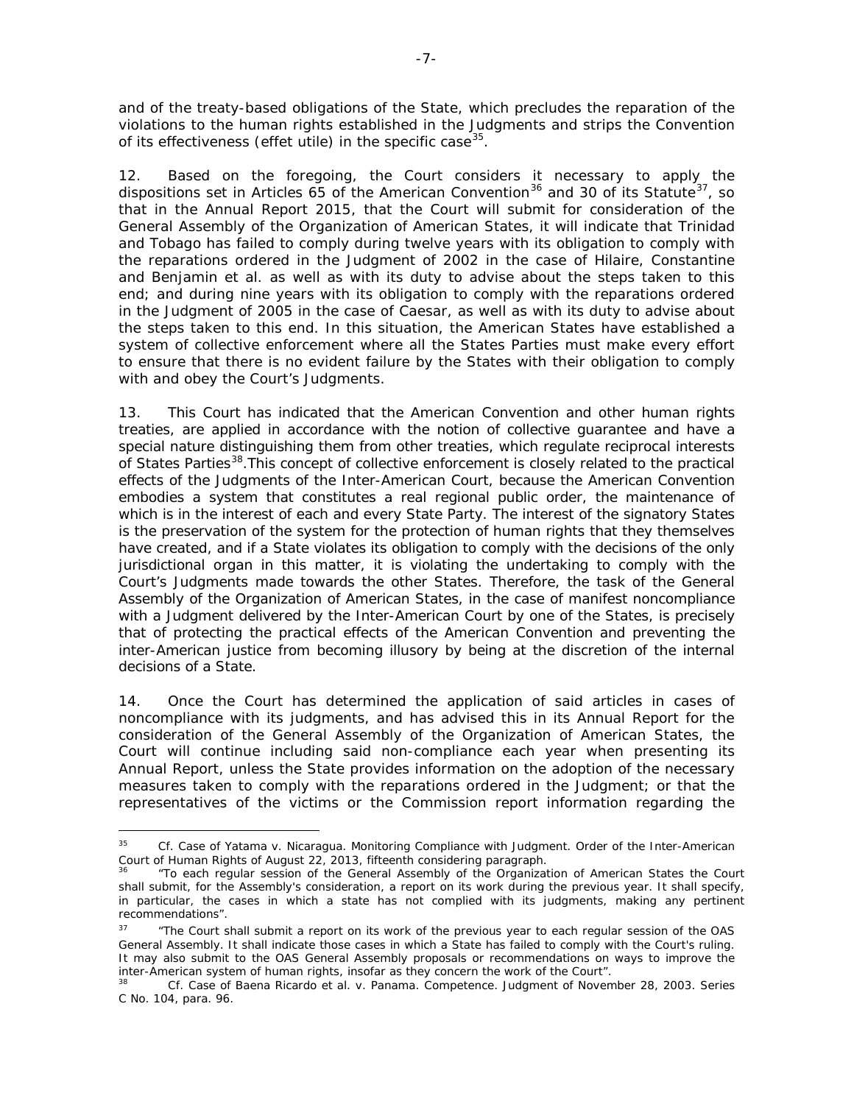and of the treaty-based obligations of the State, which precludes the reparation of the violations to the human rights established in the Judgments and strips the Convention of its effectiveness (*effet utile*) in the specific case<sup>35</sup>.

12. Based on the foregoing, the Court considers it necessary to apply the dispositions set in Articles 65 of the American Convention<sup>[36](#page-6-1)</sup> and 30 of its Statute<sup>37</sup>, so that in the Annual Report 2015, that the Court will submit for consideration of the General Assembly of the Organization of American States, it will indicate that Trinidad and Tobago has failed to comply during twelve years with its obligation to comply with the reparations ordered in the Judgment of 2002 in the case of *Hilaire, Constantine and Benjamin et al.* as well as with its duty to advise about the steps taken to this end*;* and during nine years with its obligation to comply with the reparations ordered in the Judgment of 2005 in the case of *Caesar*, as well as with its duty to advise about the steps taken to this end. In this situation, the American States have established a system of collective enforcement where all the States Parties must make every effort to ensure that there is no evident failure by the States with their obligation to comply with and obey the Court's Judgments.

13. This Court has indicated that the American Convention and other human rights treaties, are applied in accordance with the notion of collective guarantee and have a special nature distinguishing them from other treaties, which regulate reciprocal interests of States Parties<sup>[38](#page-6-3)</sup>. This concept of collective enforcement is closely related to the practical effects of the Judgments of the Inter-American Court, because the American Convention embodies a system that constitutes a real regional public order, the maintenance of which is in the interest of each and every State Party. The interest of the signatory States is the preservation of the system for the protection of human rights that they themselves have created, and if a State violates its obligation to comply with the decisions of the only jurisdictional organ in this matter, it is violating the undertaking to comply with the Court's Judgments made towards the other States. Therefore, the task of the General Assembly of the Organization of American States, in the case of manifest noncompliance with a Judgment delivered by the Inter-American Court by one of the States, is precisely that of protecting the practical effects of the American Convention and preventing the inter-American justice from becoming illusory by being at the discretion of the internal decisions of a State.

14. Once the Court has determined the application of said articles in cases of noncompliance with its judgments, and has advised this in its Annual Report for the consideration of the General Assembly of the Organization of American States, the Court will continue including said non-compliance each year when presenting its Annual Report, unless the State provides information on the adoption of the necessary measures taken to comply with the reparations ordered in the Judgment; or that the representatives of the victims or the Commission report information regarding the

<span id="page-6-0"></span><sup>35</sup> <sup>35</sup> *Cf. Case of Yatama v. Nicaragua. Monitoring Compliance with Judgment.* Order of the Inter-American Court of Human Rights of August 22, 2013, fifteenth considering paragraph.<br><sup>36</sup> "To each regular session of the General Assembly of the Organization of American States the Court

<span id="page-6-1"></span>shall submit, for the Assembly's consideration, a report on its work during the previous year. It shall specify, in particular, the cases in which a state has not complied with its judgments, making any pertinent recommendations".

<span id="page-6-2"></span><sup>37</sup> "The Court shall submit a report on its work of the previous year to each regular session of the OAS General Assembly. It shall indicate those cases in which a State has failed to comply with the Court's ruling. It may also submit to the OAS General Assembly proposals or recommendations on ways to improve the inter-American system of human rights, insofar as they concern the work of the Court".

<span id="page-6-3"></span><sup>38</sup> *Cf. Case of Baena Ricardo et al. v. Panama. Competence*. Judgment of November 28, 2003. Series C No. 104, para. 96.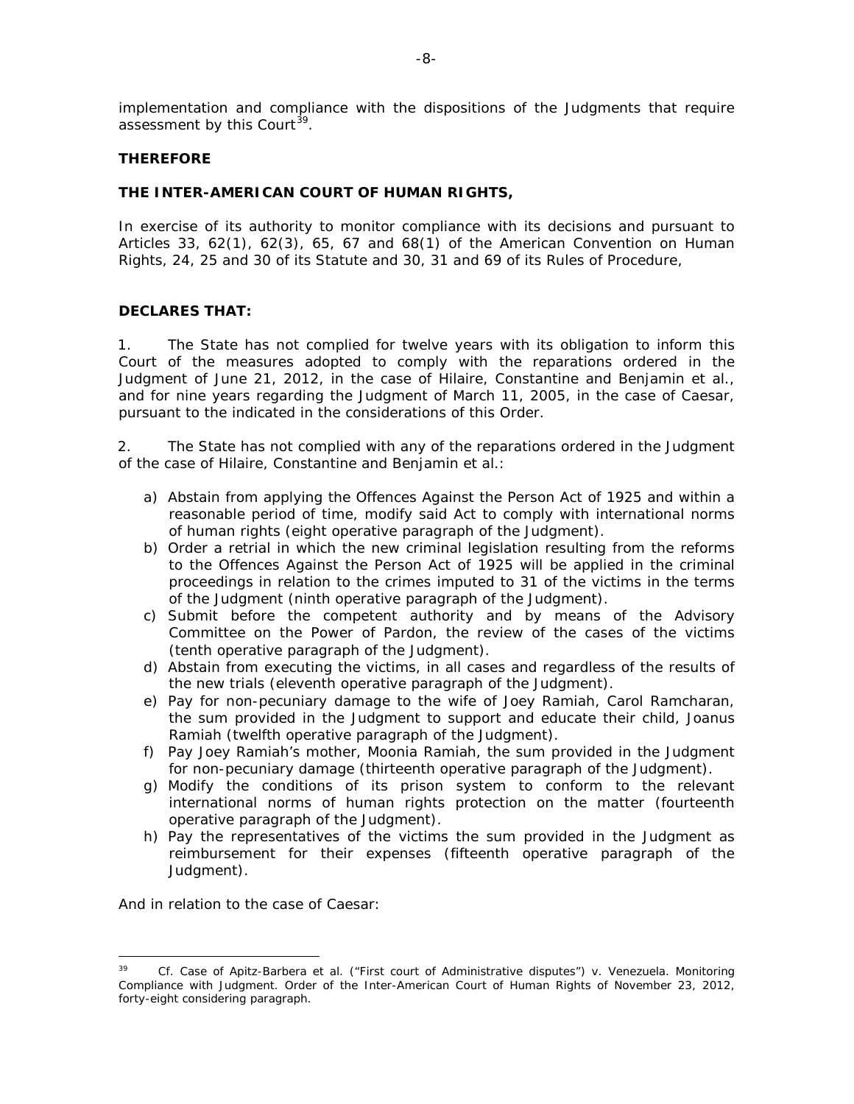implementation and compliance with the dispositions of the Judgments that require assessment by this Court<sup>[39](#page-7-0)</sup>.

## **THEREFORE**

## **THE INTER-AMERICAN COURT OF HUMAN RIGHTS,**

In exercise of its authority to monitor compliance with its decisions and pursuant to Articles 33, 62(1), 62(3), 65, 67 and 68(1) of the American Convention on Human Rights, 24, 25 and 30 of its Statute and 30, 31 and 69 of its Rules of Procedure,

## **DECLARES THAT:**

1. The State has not complied for twelve years with its obligation to inform this Court of the measures adopted to comply with the reparations ordered in the Judgment of June 21, 2012, in the case of *Hilaire, Constantine and Benjamin et al.,*  and for nine years regarding the Judgment of March 11, 2005, in the case of *Caesar,*  pursuant to the indicated in the considerations of this Order.

2. The State has not complied with any of the reparations ordered in the Judgment of the case of *Hilaire, Constantine and Benjamin et al.:*

- a) Abstain from applying the Offences Against the Person Act of 1925 and within a reasonable period of time, modify said Act to comply with international norms of human rights (*eight operative paragraph of the Judgment*).
- b) Order a retrial in which the new criminal legislation resulting from the reforms to the Offences Against the Person Act of 1925 will be applied in the criminal proceedings in relation to the crimes imputed to 31 of the victims in the terms of the Judgment (*ninth operative paragraph of the Judgment*).
- c) Submit before the competent authority and by means of the Advisory Committee on the Power of Pardon, the review of the cases of the victims (*tenth operative paragraph of the Judgment*).
- d) Abstain from executing the victims, in all cases and regardless of the results of the new trials (*eleventh operative paragraph of the Judgment*).
- e) Pay for non-pecuniary damage to the wife of Joey Ramiah, Carol Ramcharan, the sum provided in the Judgment to support and educate their child, Joanus Ramiah (*twelfth operative paragraph of the Judgment*).
- f) Pay Joey Ramiah's mother, Moonia Ramiah, the sum provided in the Judgment for non-pecuniary damage (*thirteenth operative paragraph of the* Judgment).
- g) Modify the conditions of its prison system to conform to the relevant international norms of human rights protection on the matter (*fourteenth operative paragraph of the Judgment).*
- h) Pay the representatives of the victims the sum provided in the Judgment as reimbursement for their expenses (*fifteenth operative paragraph of the Judgment*).

And in relation to the case of *Caesar*:

<span id="page-7-0"></span><sup>-</sup><sup>39</sup> *Cf. Case of Apitz-Barbera et al. ("First court of Administrative disputes") v. Venezuela. Monitoring Compliance with Judgment*. Order of the Inter-American Court of Human Rights of November 23, 2012, forty-eight considering paragraph.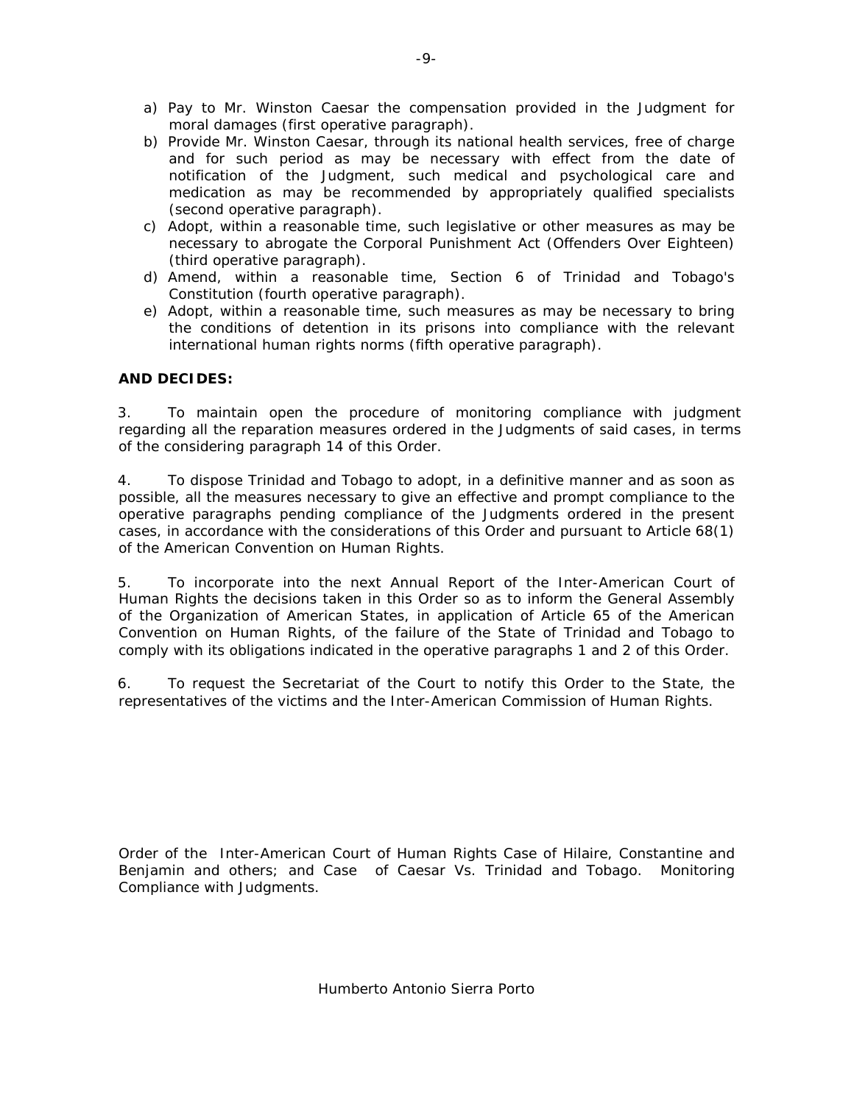- a) Pay to Mr. Winston Caesar the compensation provided in the Judgment for moral damages (*first operative paragraph*).
- b) Provide Mr. Winston Caesar, through its national health services, free of charge and for such period as may be necessary with effect from the date of notification of the Judgment, such medical and psychological care and medication as may be recommended by appropriately qualified specialists (*second operative paragraph*).
- c) Adopt, within a reasonable time, such legislative or other measures as may be necessary to abrogate the Corporal Punishment Act (Offenders Over Eighteen) (*third operative paragraph*).
- d) Amend, within a reasonable time, Section 6 of Trinidad and Tobago's Constitution (*fourth operative paragraph*)*.*
- e) Adopt, within a reasonable time, such measures as may be necessary to bring the conditions of detention in its prisons into compliance with the relevant international human rights norms (*fifth operative paragraph*).

# **AND DECIDES:**

3. To maintain open the procedure of monitoring compliance with judgment regarding all the reparation measures ordered in the Judgments of said cases, in terms of the considering paragraph 14 of this Order.

4. To dispose Trinidad and Tobago to adopt, in a definitive manner and as soon as possible, all the measures necessary to give an effective and prompt compliance to the operative paragraphs pending compliance of the Judgments ordered in the present cases, in accordance with the considerations of this Order and pursuant to Article 68(1) of the American Convention on Human Rights.

5. To incorporate into the next Annual Report of the Inter-American Court of Human Rights the decisions taken in this Order so as to inform the General Assembly of the Organization of American States, in application of Article 65 of the American Convention on Human Rights, of the failure of the State of Trinidad and Tobago to comply with its obligations indicated in the operative paragraphs 1 and 2 of this Order.

6. To request the Secretariat of the Court to notify this Order to the State, the representatives of the victims and the Inter-American Commission of Human Rights.

Order of the Inter-American Court of Human Rights Case of Hilaire, Constantine and Benjamin and others; and Case of Caesar Vs. Trinidad and Tobago. Monitoring Compliance with Judgments.

-9-

Humberto Antonio Sierra Porto